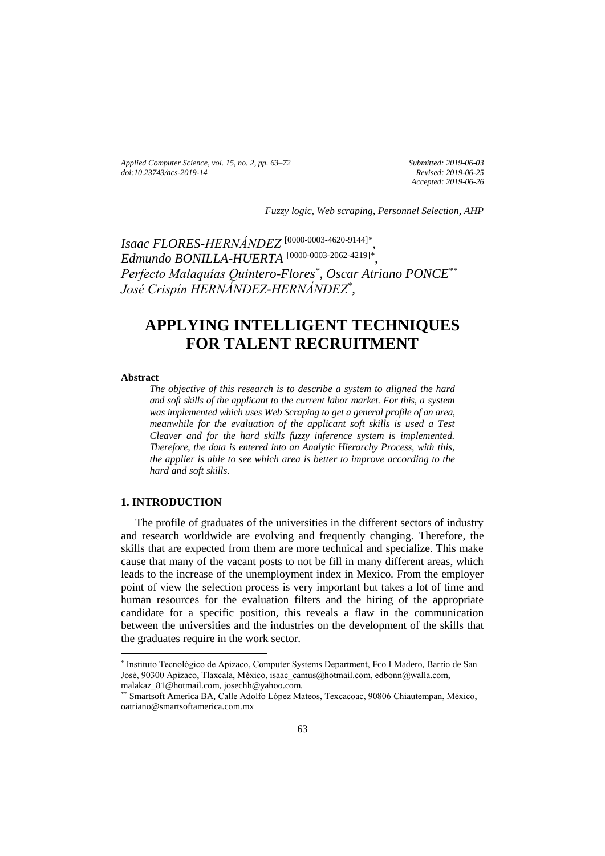*Applied Computer Science, vol. 15, no. 2, pp. 63–72 [doi:10.23743/acs-2019-14](http://acs.pollub.pl/pdf/v15n2/6.pdf)*

*Submitted: 2019-06-03 Revised: 2019-06-25 Accepted: 2019-06-26*

*Fuzzy logic, Web scraping, Personnel Selection, AHP*

*Isaac FLORES-HERNÁNDEZ* [\[0000-0003-4620-9144\]](https://orcid.org/0000-0003-4620-9144)*\* , Edmundo BONILLA-HUERTA* [\[0000-0003-2062-4219\]](https://orcid.org/0000-0003-2062-4219)*\* , Perfecto Malaquías Quintero-Flores\* , Oscar Atriano PONCE\*\* José Crispín HERNÁNDEZ-HERNÁNDEZ\* ,*

# **APPLYING INTELLIGENT TECHNIQUES FOR TALENT RECRUITMENT**

## **Abstract**

 $\overline{\phantom{a}}$ 

*The objective of this research is to describe a system to aligned the hard and soft skills of the applicant to the current labor market. For this, a system was implemented which uses Web Scraping to get a general profile of an area, meanwhile for the evaluation of the applicant soft skills is used a Test Cleaver and for the hard skills fuzzy inference system is implemented. Therefore, the data is entered into an Analytic Hierarchy Process, with this, the applier is able to see which area is better to improve according to the hard and soft skills.*

## **1. INTRODUCTION**

The profile of graduates of the universities in the different sectors of industry and research worldwide are evolving and frequently changing. Therefore, the skills that are expected from them are more technical and specialize. This make cause that many of the vacant posts to not be fill in many different areas, which leads to the increase of the unemployment index in Mexico. From the employer point of view the selection process is very important but takes a lot of time and human resources for the evaluation filters and the hiring of the appropriate candidate for a specific position, this reveals a flaw in the communication between the universities and the industries on the development of the skills that the graduates require in the work sector.

<sup>\*</sup> Instituto Tecnológico de Apizaco, Computer Systems Department, Fco I Madero, Barrio de San José, 90300 Apizaco, Tlaxcala, México, isaac\_camus@hotmail.com, edbonn@walla.com, malakaz\_81@hotmail.com, josechh@yahoo.com.

<sup>\*\*</sup> Smartsoft America BA, Calle Adolfo López Mateos, Texcacoac, 90806 Chiautempan, México, oatriano@smartsoftamerica.com.mx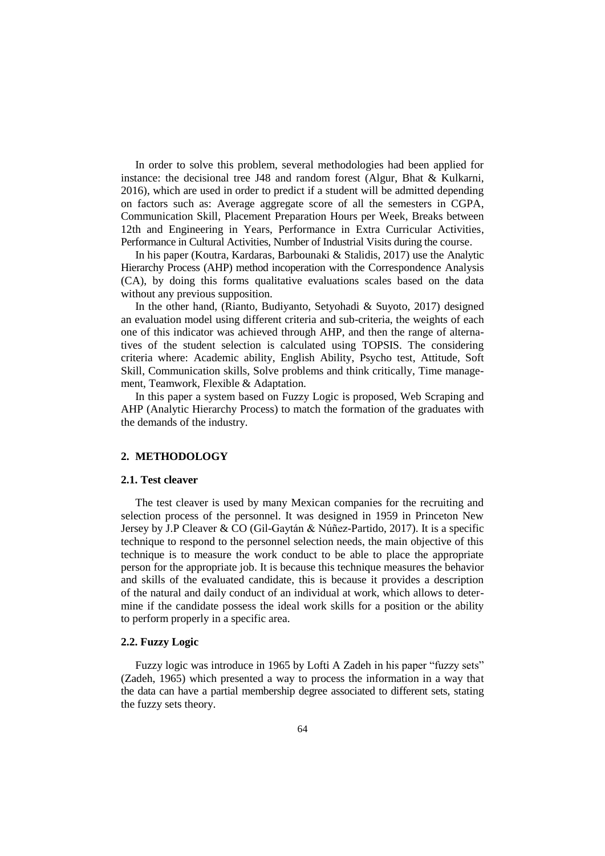In order to solve this problem, several methodologies had been applied for instance: the decisional tree J48 and random forest (Algur, Bhat & Kulkarni, 2016), which are used in order to predict if a student will be admitted depending on factors such as: Average aggregate score of all the semesters in CGPA, Communication Skill, Placement Preparation Hours per Week, Breaks between 12th and Engineering in Years, Performance in Extra Curricular Activities, Performance in Cultural Activities, Number of Industrial Visits during the course.

In his paper (Koutra, Kardaras, Barbounaki & Stalidis, 2017) use the Analytic Hierarchy Process (AHP) method incoperation with the Correspondence Analysis (CA), by doing this forms qualitative evaluations scales based on the data without any previous supposition.

In the other hand, (Rianto, Budiyanto, Setyohadi & Suyoto, 2017) designed an evaluation model using different criteria and sub-criteria, the weights of each one of this indicator was achieved through AHP, and then the range of alternatives of the student selection is calculated using TOPSIS. The considering criteria where: Academic ability, English Ability, Psycho test, Attitude, Soft Skill, Communication skills, Solve problems and think critically, Time management, Teamwork, Flexible & Adaptation.

In this paper a system based on Fuzzy Logic is proposed, Web Scraping and AHP (Analytic Hierarchy Process) to match the formation of the graduates with the demands of the industry.

### **2. METHODOLOGY**

## **2.1. Test cleaver**

The test cleaver is used by many Mexican companies for the recruiting and selection process of the personnel. It was designed in 1959 in Princeton New Jersey by J.P Cleaver & CO (Gil-Gaytán & Núñez-Partido, 2017). It is a specific technique to respond to the personnel selection needs, the main objective of this technique is to measure the work conduct to be able to place the appropriate person for the appropriate job. It is because this technique measures the behavior and skills of the evaluated candidate, this is because it provides a description of the natural and daily conduct of an individual at work, which allows to determine if the candidate possess the ideal work skills for a position or the ability to perform properly in a specific area.

## **2.2. Fuzzy Logic**

Fuzzy logic was introduce in 1965 by Lofti A Zadeh in his paper "fuzzy sets" (Zadeh, 1965) which presented a way to process the information in a way that the data can have a partial membership degree associated to different sets, stating the fuzzy sets theory.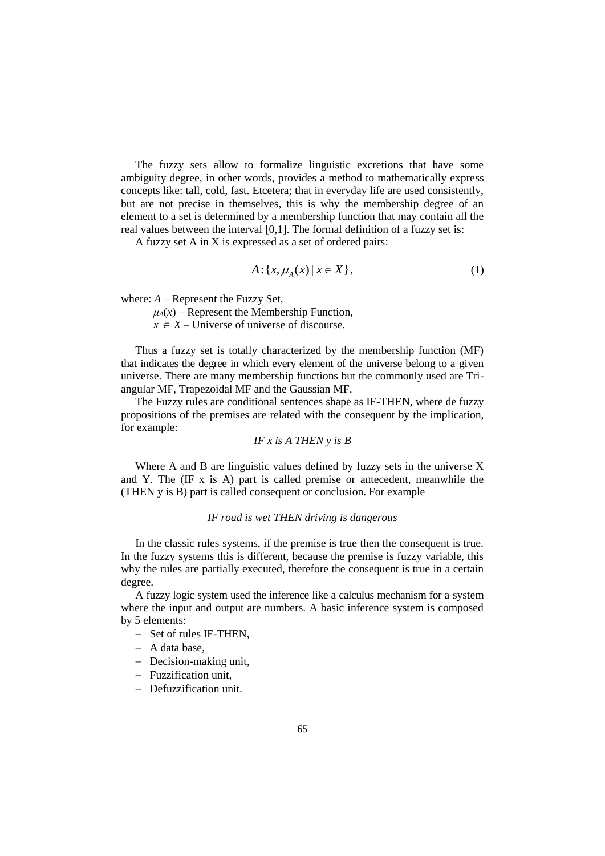The fuzzy sets allow to formalize linguistic excretions that have some ambiguity degree, in other words, provides a method to mathematically express concepts like: tall, cold, fast. Etcetera; that in everyday life are used consistently, but are not precise in themselves, this is why the membership degree of an element to a set is determined by a membership function that may contain all the real values between the interval [0,1]. The formal definition of a fuzzy set is:

A fuzzy set A in X is expressed as a set of ordered pairs:

$$
A: \{x, \mu_A(x) \mid x \in X\},\tag{1}
$$

where: *A* – Represent the Fuzzy Set,

 $\mu_A(x)$  – Represent the Membership Function,

 $x \in X$  – Universe of universe of discourse.

Thus a fuzzy set is totally characterized by the membership function (MF) that indicates the degree in which every element of the universe belong to a given universe. There are many membership functions but the commonly used are Triangular MF, Trapezoidal MF and the Gaussian MF.

The Fuzzy rules are conditional sentences shape as IF-THEN, where de fuzzy propositions of the premises are related with the consequent by the implication, for example:

$$
IF \ x \ is \ A \ THEN \ y \ is \ B
$$

Where A and B are linguistic values defined by fuzzy sets in the universe X and Y. The (IF x is A) part is called premise or antecedent, meanwhile the (THEN y is B) part is called consequent or conclusion. For example

## *IF road is wet THEN driving is dangerous*

In the classic rules systems, if the premise is true then the consequent is true. In the fuzzy systems this is different, because the premise is fuzzy variable, this why the rules are partially executed, therefore the consequent is true in a certain degree.

A fuzzy logic system used the inference like a calculus mechanism for a system where the input and output are numbers. A basic inference system is composed by 5 elements:

- $-$  Set of rules IF-THEN.
- $-$  A data base.
- Decision-making unit,
- Fuzzification unit.
- Defuzzification unit.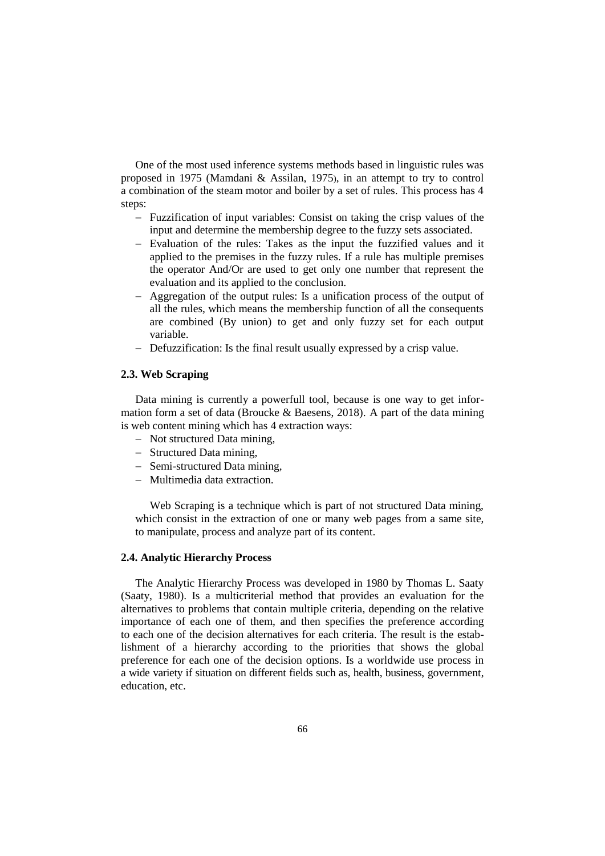One of the most used inference systems methods based in linguistic rules was proposed in 1975 (Mamdani & Assilan, 1975), in an attempt to try to control a combination of the steam motor and boiler by a set of rules. This process has 4 steps:

- Fuzzification of input variables: Consist on taking the crisp values of the input and determine the membership degree to the fuzzy sets associated.
- Evaluation of the rules: Takes as the input the fuzzified values and it applied to the premises in the fuzzy rules. If a rule has multiple premises the operator And/Or are used to get only one number that represent the evaluation and its applied to the conclusion.
- Aggregation of the output rules: Is a unification process of the output of all the rules, which means the membership function of all the consequents are combined (By union) to get and only fuzzy set for each output variable.
- Defuzzification: Is the final result usually expressed by a crisp value.

## **2.3. Web Scraping**

Data mining is currently a powerfull tool, because is one way to get information form a set of data (Broucke  $\&$  Baesens, 2018). A part of the data mining is web content mining which has 4 extraction ways:

- Not structured Data mining,
- Structured Data mining,
- Semi-structured Data mining,
- Multimedia data extraction.

Web Scraping is a technique which is part of not structured Data mining, which consist in the extraction of one or many web pages from a same site. to manipulate, process and analyze part of its content.

## **2.4. Analytic Hierarchy Process**

The Analytic Hierarchy Process was developed in 1980 by Thomas L. Saaty (Saaty, 1980). Is a multicriterial method that provides an evaluation for the alternatives to problems that contain multiple criteria, depending on the relative importance of each one of them, and then specifies the preference according to each one of the decision alternatives for each criteria. The result is the establishment of a hierarchy according to the priorities that shows the global preference for each one of the decision options. Is a worldwide use process in a wide variety if situation on different fields such as, health, business, government, education etc.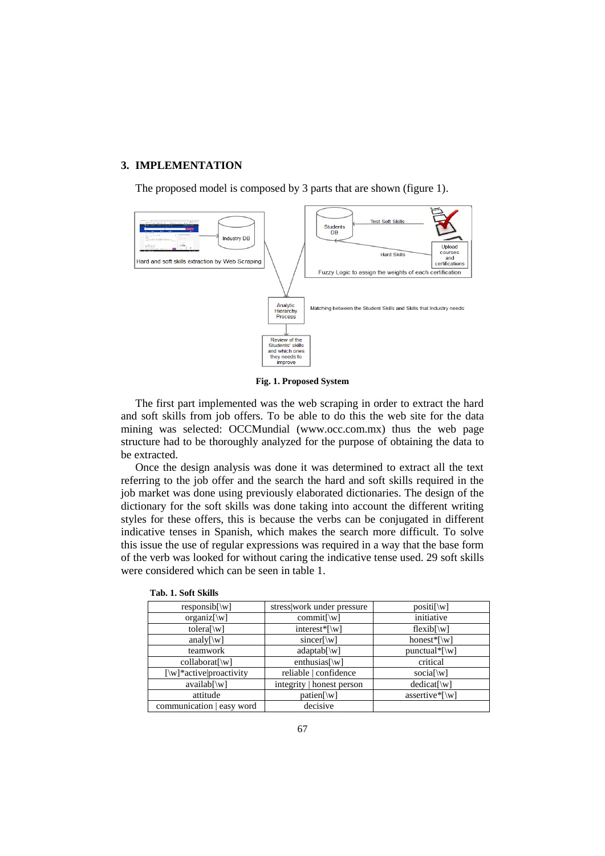### **3. IMPLEMENTATION**

The proposed model is composed by 3 parts that are shown (figure 1).



**Fig. 1. Proposed System**

The first part implemented was the web scraping in order to extract the hard and soft skills from job offers. To be able to do this the web site for the data mining was selected: OCCMundial (www.occ.com.mx) thus the web page structure had to be thoroughly analyzed for the purpose of obtaining the data to be extracted.

Once the design analysis was done it was determined to extract all the text referring to the job offer and the search the hard and soft skills required in the job market was done using previously elaborated dictionaries. The design of the dictionary for the soft skills was done taking into account the different writing styles for these offers, this is because the verbs can be conjugated in different indicative tenses in Spanish, which makes the search more difficult. To solve this issue the use of regular expressions was required in a way that the base form of the verb was looked for without caring the indicative tense used. 29 soft skills were considered which can be seen in table 1.

| $responsible[\w$                      | stress work under pressure         | $positi[\wedge v]$                  |
|---------------------------------------|------------------------------------|-------------------------------------|
| $organiz[\w$                          | $commit[$ W]                       | initiative                          |
| tolera $\lceil \Wceil$                | interest* $\lceil \text{w} \rceil$ | $flexib[\wedge w]$                  |
| analy $[\wedge \wedge]$               | $sincer[\w$                        | honest* $\lceil \forall w \rceil$   |
| teamwork                              | $adaptab[\w$ ]                     |                                     |
| $collaborat[\wedge v]$                | enthusias $[\wedge w]$             | critical                            |
| $[\w$ <sup>*</sup> active proactivity | reliable   confidence              | social $\wedge$ w                   |
| $availab[\wedge w]$                   | integrity   honest person          | $dedicat[\wedge v]$                 |
| attitude                              | $patien[\w$                        | assertive* $\lceil \text{w} \rceil$ |
| communication   easy word             | decisive                           |                                     |

**Tab. 1. Soft Skills**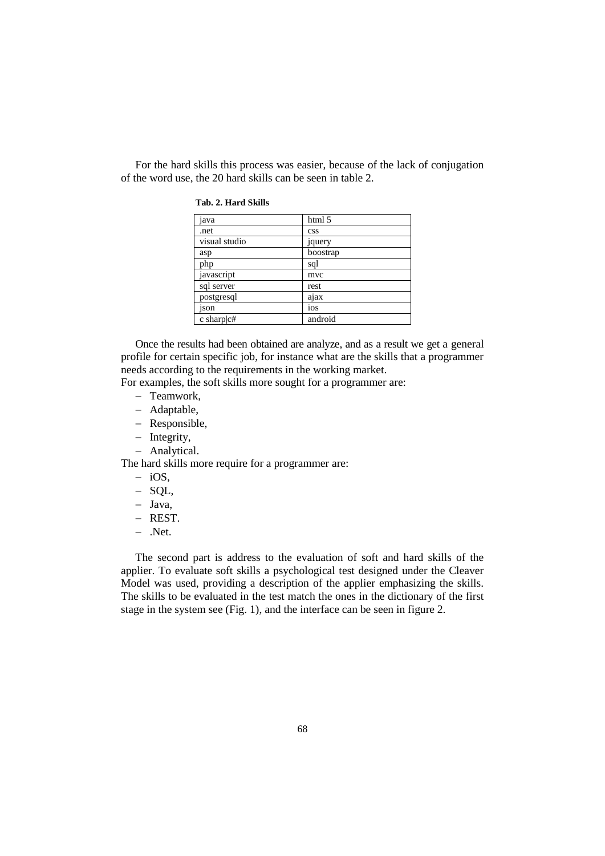For the hard skills this process was easier, because of the lack of conjugation of the word use, the 20 hard skills can be seen in table 2.

| java          | html 5         |
|---------------|----------------|
| .net          | <b>CSS</b>     |
| visual studio | <i>s</i> query |
| asp           | boostrap       |
| php           | sql            |
| javascript    | mvc            |
| sql server    | rest           |
| postgresql    | ajax           |
| ison          | ios            |
| c sharp $ c#$ | android        |

Once the results had been obtained are analyze, and as a result we get a general profile for certain specific job, for instance what are the skills that a programmer needs according to the requirements in the working market.

For examples, the soft skills more sought for a programmer are:

- Teamwork.
- Adaptable,
- Responsible,
- Integrity,
- Analytical.

The hard skills more require for a programmer are:

- $-$  iOS.
- $-$  SOL,
- Java,
- REST.
- $-$  .Net.

The second part is address to the evaluation of soft and hard skills of the applier. To evaluate soft skills a psychological test designed under the Cleaver Model was used, providing a description of the applier emphasizing the skills. The skills to be evaluated in the test match the ones in the dictionary of the first stage in the system see (Fig. 1), and the interface can be seen in figure 2.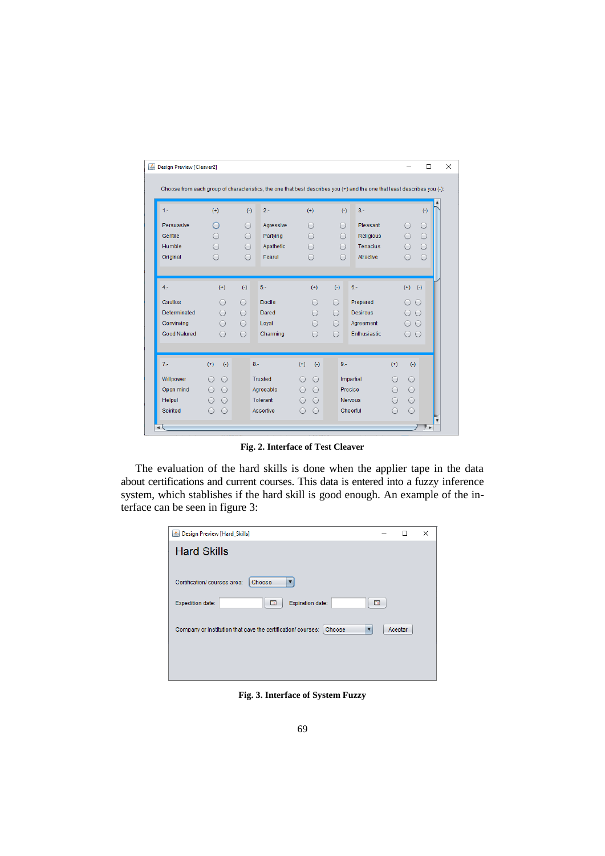| Design Preview [Cleaver2]                                                                                                |                                |            |                  |                                               |            |                 |                          |            |                         |
|--------------------------------------------------------------------------------------------------------------------------|--------------------------------|------------|------------------|-----------------------------------------------|------------|-----------------|--------------------------|------------|-------------------------|
|                                                                                                                          |                                |            |                  |                                               |            |                 |                          |            |                         |
| Choose from each group of characteristics, the one that best describes you (+) and the one that least describes you (-): |                                |            |                  |                                               |            |                 |                          |            |                         |
| $1 -$                                                                                                                    | $(+)$                          | $(-)$      | $2 -$            | $(+)$                                         | $(-)$      | $3 -$           |                          | $(-)$      |                         |
| Persuasive                                                                                                               | $\bigcirc$                     | $\bigcirc$ | Agressive        | $\bigcirc$                                    | $\bigcirc$ | Pleasant        | $\bigcirc$               | $\bigcirc$ |                         |
| Gentile                                                                                                                  | ∋                              | $\bigcirc$ | Partying         | $\bigcirc$                                    | $\bigcirc$ | Religious       | $\bigcirc$               | $\bigcirc$ |                         |
| Humble                                                                                                                   | $\bigcap$                      | $\bigcirc$ | Apathetic        | $\bigcap$                                     | $\bigcirc$ | Tenacius        | $\bigcap$                | $\bigcirc$ |                         |
| Original                                                                                                                 | ◯                              | $\bigcap$  | Fearul           | $\left( \begin{array}{c} \end{array} \right)$ | $\bigcap$  | Atractive       | ◯                        | $\bigcirc$ |                         |
|                                                                                                                          |                                |            |                  |                                               |            |                 |                          |            |                         |
|                                                                                                                          |                                |            |                  |                                               |            |                 |                          |            |                         |
| $4 -$                                                                                                                    | $(+)$                          | $(-)$      | $5 -$            | $(+)$                                         | $(-)$      | $6 -$           | $(+)$ $(-)$              |            |                         |
| Cautios                                                                                                                  | $\supset$                      | $\bigcirc$ | Docile           | $\supset$                                     | $\bigcirc$ | Prepared        | $\bigcirc$               | $\bigcirc$ |                         |
| Determinated                                                                                                             |                                | $\bigcap$  | Dared            |                                               | $\bigcap$  | <b>Desirous</b> | O O                      |            |                         |
| Convinving                                                                                                               |                                | $\bigcirc$ | Loval            | ◯                                             | $\bigcirc$ | Agreement       | $\bigcirc$               | $\bigcirc$ |                         |
| <b>Good Natured</b>                                                                                                      | $\bigcap$                      | $\bigcap$  | Charming         | $\bigcirc$                                    | $\bigcap$  | Enthusiastic    | $\circ$ $\circ$          |            |                         |
|                                                                                                                          |                                |            |                  |                                               |            |                 |                          |            |                         |
|                                                                                                                          |                                |            |                  |                                               |            |                 |                          |            |                         |
| $7 -$                                                                                                                    | $(+)$<br>$(-)$                 |            | $8 -$            | $(+)$<br>$(-)$                                | $9 -$      |                 | $(+)$<br>$(-)$           |            |                         |
| Willpower                                                                                                                | $\bigcirc$                     |            | Trusted          | $\bigcirc$<br>◯                               |            | Impartial       | $\bigcirc$               |            |                         |
| Open mind                                                                                                                | $\bigcirc$<br>$\left( \right)$ |            | Agreeable        | $\bigcirc$<br>∩                               |            | Precise         | $\bigcirc$<br>$\bigcap$  |            |                         |
| <b>Helpul</b>                                                                                                            | $\bigcirc$                     |            | <b>Tolerant</b>  | $\bigcirc$<br>$\bigcirc$                      |            | <b>Nervous</b>  | $\bigcirc$<br>$\bigcirc$ |            |                         |
| Spirited                                                                                                                 | $\bigcirc$<br>$\left( \right)$ |            | <b>Assertive</b> | $\bigcirc$<br>$\left( \right)$                |            | Cheerful        | $\bigcirc$<br>Ω          |            |                         |
|                                                                                                                          |                                |            |                  |                                               |            |                 |                          |            | $\overline{\mathbf{v}}$ |

**Fig. 2. Interface of Test Cleaver**

The evaluation of the hard skills is done when the applier tape in the data about certifications and current courses. This data is entered into a fuzzy inference system, which stablishes if the hard skill is good enough. An example of the interface can be seen in figure 3:

| B Design Preview [Hard_Skills]                                              |    |         | × |
|-----------------------------------------------------------------------------|----|---------|---|
| <b>Hard Skills</b>                                                          |    |         |   |
|                                                                             |    |         |   |
| Certification/ courses area:<br>Choose<br>▼                                 |    |         |   |
| Γō<br>Expiration date:<br><b>Expedition date:</b>                           | ۳ō |         |   |
| Company or Institution that gave the certification/ courses:<br>Choose<br>v |    | Aceptar |   |
|                                                                             |    |         |   |
|                                                                             |    |         |   |

**Fig. 3. Interface of System Fuzzy**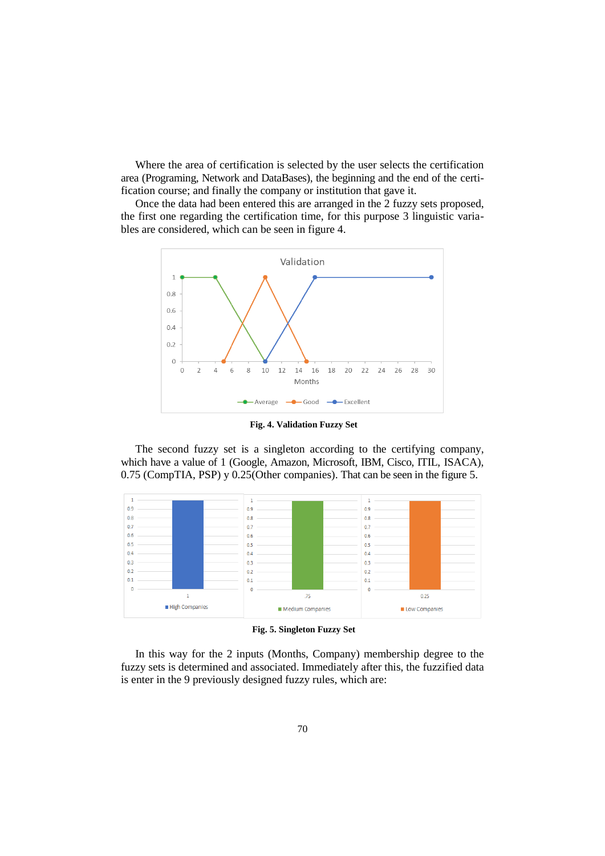Where the area of certification is selected by the user selects the certification area (Programing, Network and DataBases), the beginning and the end of the certification course; and finally the company or institution that gave it.

Once the data had been entered this are arranged in the 2 fuzzy sets proposed, the first one regarding the certification time, for this purpose 3 linguistic variables are considered, which can be seen in figure 4.



**Fig. 4. Validation Fuzzy Set**

The second fuzzy set is a singleton according to the certifying company, which have a value of 1 (Google, Amazon, Microsoft, IBM, Cisco, ITIL, ISACA), 0.75 (CompTIA, PSP) y 0.25(Other companies). That can be seen in the figure 5.



**Fig. 5. Singleton Fuzzy Set**

In this way for the 2 inputs (Months, Company) membership degree to the fuzzy sets is determined and associated. Immediately after this, the fuzzified data is enter in the 9 previously designed fuzzy rules, which are: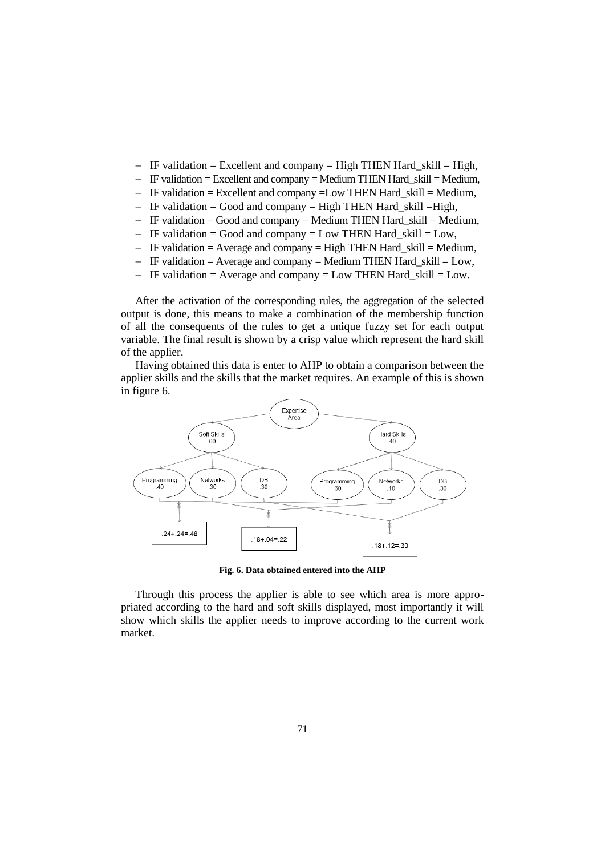- $-I$  IF validation = Excellent and company = High THEN Hard skill = High,
- $\overline{I}$  IF validation = Excellent and company = Medium THEN Hard skill = Medium,
- $-I$  IF validation = Excellent and company = Low THEN Hard\_skill = Medium,
- IF validation = Good and company = High THEN Hard skill =High,
- $-I$  IF validation = Good and company = Medium THEN Hard\_skill = Medium,
- $-I$  IF validation = Good and company = Low THEN Hard skill = Low,
- $-I$  IF validation = Average and company = High THEN Hard\_skill = Medium,
- $-I$  IF validation = Average and company = Medium THEN Hard\_skill = Low,
- $-I$  IF validation = Average and company = Low THEN Hard\_skill = Low.

After the activation of the corresponding rules, the aggregation of the selected output is done, this means to make a combination of the membership function of all the consequents of the rules to get a unique fuzzy set for each output variable. The final result is shown by a crisp value which represent the hard skill of the applier.

Having obtained this data is enter to AHP to obtain a comparison between the applier skills and the skills that the market requires. An example of this is shown in figure 6.



**Fig. 6. Data obtained entered into the AHP** 

Through this process the applier is able to see which area is more appropriated according to the hard and soft skills displayed, most importantly it will show which skills the applier needs to improve according to the current work market.